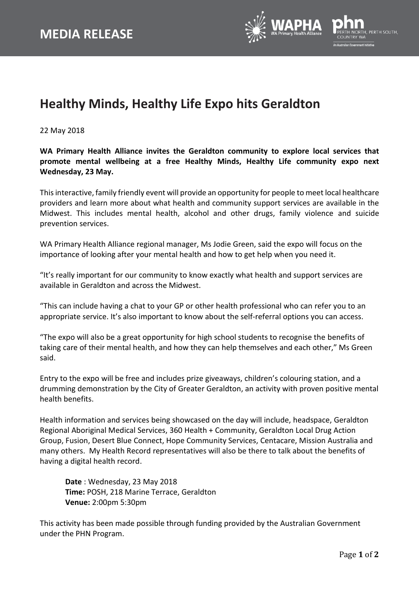

## **Healthy Minds, Healthy Life Expo hits Geraldton**

22 May 2018

**WA Primary Health Alliance invites the Geraldton community to explore local services that promote mental wellbeing at a free Healthy Minds, Healthy Life community expo next Wednesday, 23 May.**

This interactive, family friendly event will provide an opportunity for people to meet local healthcare providers and learn more about what health and community support services are available in the Midwest. This includes mental health, alcohol and other drugs, family violence and suicide prevention services.

WA Primary Health Alliance regional manager, Ms Jodie Green, said the expo will focus on the importance of looking after your mental health and how to get help when you need it.

"It's really important for our community to know exactly what health and support services are available in Geraldton and across the Midwest.

"This can include having a chat to your GP or other health professional who can refer you to an appropriate service. It's also important to know about the self-referral options you can access.

"The expo will also be a great opportunity for high school students to recognise the benefits of taking care of their mental health, and how they can help themselves and each other," Ms Green said.

Entry to the expo will be free and includes prize giveaways, children's colouring station, and a drumming demonstration by the City of Greater Geraldton, an activity with proven positive mental health benefits.

Health information and services being showcased on the day will include, headspace, Geraldton Regional Aboriginal Medical Services, 360 Health + Community, Geraldton Local Drug Action Group, Fusion, Desert Blue Connect, Hope Community Services, Centacare, Mission Australia and many others. My Health Record representatives will also be there to talk about the benefits of having a digital health record.

**Date** : Wednesday, 23 May 2018 **Time:** POSH, 218 Marine Terrace, Geraldton **Venue:** 2:00pm 5:30pm

This activity has been made possible through funding provided by the Australian Government under the PHN Program.